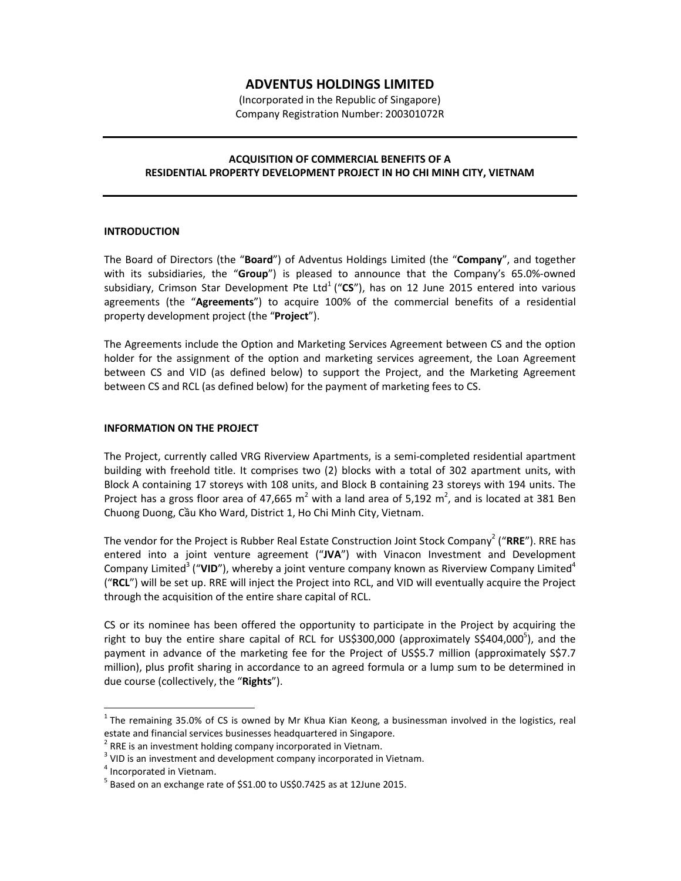# **ADVENTUS HOLDINGS LIMITED**

(Incorporated in the Republic of Singapore) Company Registration Number: 200301072R

# **ACQUISITION OF COMMERCIAL BENEFITS OF A RESIDENTIAL PROPERTY DEVELOPMENT PROJECT IN HO CHI MINH CITY, VIETNAM**

# **INTRODUCTION**

The Board of Directors (the "**Board**") of Adventus Holdings Limited (the "**Company**", and together with its subsidiaries, the "**Group**") is pleased to announce that the Company's 65.0%-owned subsidiary, Crimson Star Development Pte Ltd<sup>1</sup> ("CS"), has on 12 June 2015 entered into various agreements (the "**Agreements**") to acquire 100% of the commercial benefits of a residential property development project (the "**Project**").

The Agreements include the Option and Marketing Services Agreement between CS and the option holder for the assignment of the option and marketing services agreement, the Loan Agreement between CS and VID (as defined below) to support the Project, and the Marketing Agreement between CS and RCL (as defined below) for the payment of marketing fees to CS.

# **INFORMATION ON THE PROJECT**

The Project, currently called VRG Riverview Apartments, is a semi-completed residential apartment building with freehold title. It comprises two (2) blocks with a total of 302 apartment units, with Block A containing 17 storeys with 108 units, and Block B containing 23 storeys with 194 units. The Project has a gross floor area of 47,665 m<sup>2</sup> with a land area of 5,192 m<sup>2</sup>, and is located at 381 Ben Chuong Duong, Cầu Kho Ward, District 1, Ho Chi Minh City, Vietnam.

The vendor for the Project is Rubber Real Estate Construction Joint Stock Company<sup>2</sup> ("**RRE**"). RRE has entered into a joint venture agreement ("**JVA**") with Vinacon Investment and Development Company Limited<sup>3</sup> ("VID"), whereby a joint venture company known as Riverview Company Limited<sup>4</sup> ("**RCL**") will be set up. RRE will inject the Project into RCL, and VID will eventually acquire the Project through the acquisition of the entire share capital of RCL.

CS or its nominee has been offered the opportunity to participate in the Project by acquiring the right to buy the entire share capital of RCL for US\$300,000 (approximately S\$404,000<sup>5</sup>), and the payment in advance of the marketing fee for the Project of US\$5.7 million (approximately S\$7.7 million), plus profit sharing in accordance to an agreed formula or a lump sum to be determined in due course (collectively, the "**Rights**").

 $\overline{a}$ 

 $^1$  The remaining 35.0% of CS is owned by Mr Khua Kian Keong, a businessman involved in the logistics, real estate and financial services businesses headquartered in Singapore.

 $2$  RRE is an investment holding company incorporated in Vietnam.

 $3$  VID is an investment and development company incorporated in Vietnam.

<sup>&</sup>lt;sup>4</sup> Incorporated in Vietnam.

<sup>&</sup>lt;sup>5</sup> Based on an exchange rate of \$S1.00 to US\$0.7425 as at 12June 2015.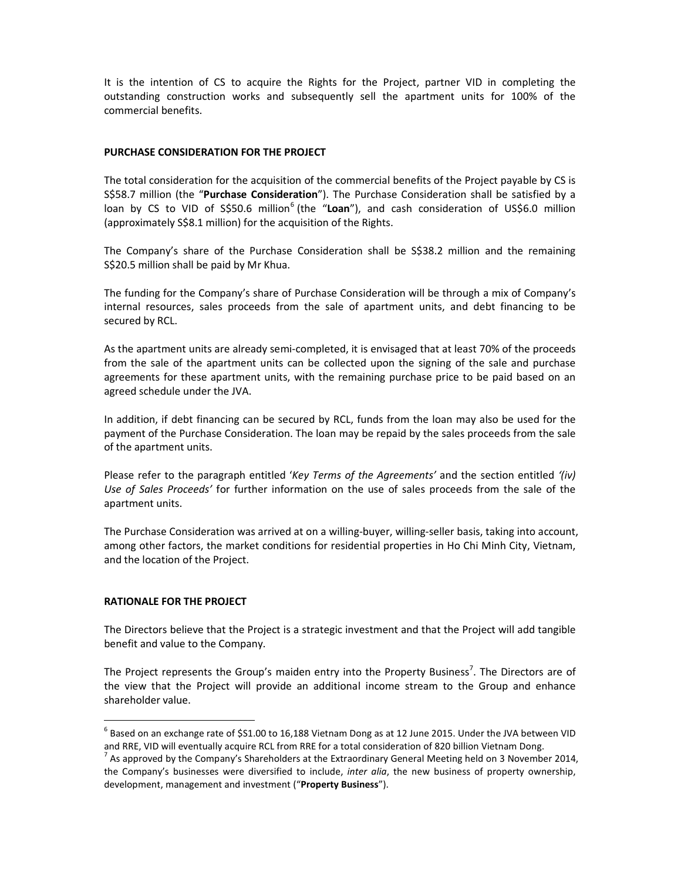It is the intention of CS to acquire the Rights for the Project, partner VID in completing the outstanding construction works and subsequently sell the apartment units for 100% of the commercial benefits.

# **PURCHASE CONSIDERATION FOR THE PROJECT**

The total consideration for the acquisition of the commercial benefits of the Project payable by CS is S\$58.7 million (the "**Purchase Consideration**"). The Purchase Consideration shall be satisfied by a loan by CS to VID of S\$50.6 million<sup>6</sup> (the "Loan"), and cash consideration of US\$6.0 million (approximately S\$8.1 million) for the acquisition of the Rights.

The Company's share of the Purchase Consideration shall be S\$38.2 million and the remaining S\$20.5 million shall be paid by Mr Khua.

The funding for the Company's share of Purchase Consideration will be through a mix of Company's internal resources, sales proceeds from the sale of apartment units, and debt financing to be secured by RCL.

As the apartment units are already semi-completed, it is envisaged that at least 70% of the proceeds from the sale of the apartment units can be collected upon the signing of the sale and purchase agreements for these apartment units, with the remaining purchase price to be paid based on an agreed schedule under the JVA.

In addition, if debt financing can be secured by RCL, funds from the loan may also be used for the payment of the Purchase Consideration. The loan may be repaid by the sales proceeds from the sale of the apartment units.

Please refer to the paragraph entitled '*Key Terms of the Agreements'* and the section entitled *'(iv) Use of Sales Proceeds'* for further information on the use of sales proceeds from the sale of the apartment units.

The Purchase Consideration was arrived at on a willing-buyer, willing-seller basis, taking into account, among other factors, the market conditions for residential properties in Ho Chi Minh City, Vietnam, and the location of the Project.

#### **RATIONALE FOR THE PROJECT**

 $\overline{a}$ 

The Directors believe that the Project is a strategic investment and that the Project will add tangible benefit and value to the Company.

The Project represents the Group's maiden entry into the Property Business<sup>7</sup>. The Directors are of the view that the Project will provide an additional income stream to the Group and enhance shareholder value.

 $^6$  Based on an exchange rate of \$S1.00 to 16,188 Vietnam Dong as at 12 June 2015. Under the JVA between VID and RRE, VID will eventually acquire RCL from RRE for a total consideration of 820 billion Vietnam Dong.

<sup>&</sup>lt;sup>7</sup> As approved by the Company's Shareholders at the Extraordinary General Meeting held on 3 November 2014, the Company's businesses were diversified to include, *inter alia*, the new business of property ownership, development, management and investment ("**Property Business**").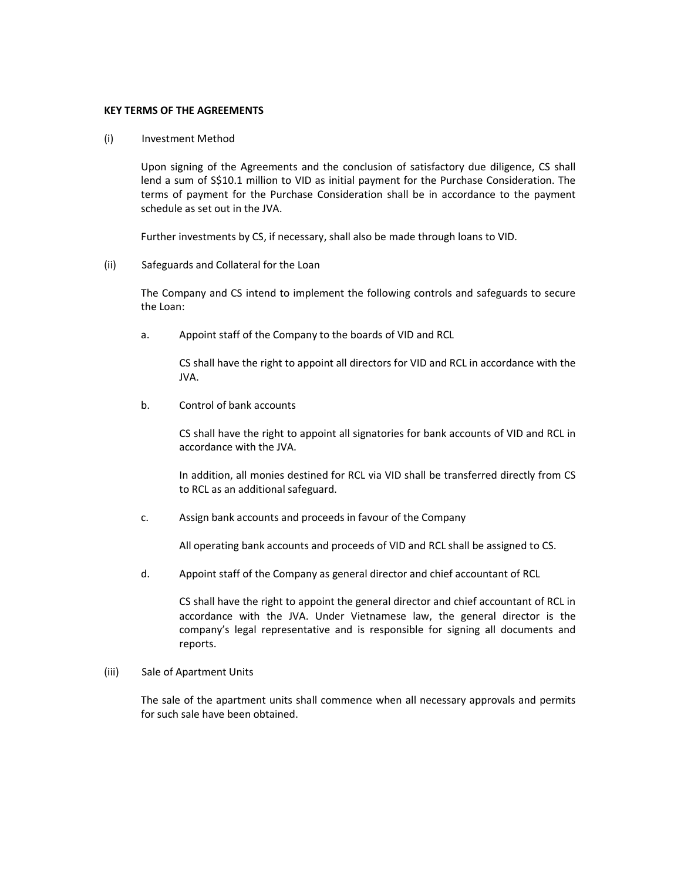# **KEY TERMS OF THE AGREEMENTS**

#### (i) Investment Method

Upon signing of the Agreements and the conclusion of satisfactory due diligence, CS shall lend a sum of S\$10.1 million to VID as initial payment for the Purchase Consideration. The terms of payment for the Purchase Consideration shall be in accordance to the payment schedule as set out in the JVA.

Further investments by CS, if necessary, shall also be made through loans to VID.

# (ii) Safeguards and Collateral for the Loan

The Company and CS intend to implement the following controls and safeguards to secure the Loan:

a. Appoint staff of the Company to the boards of VID and RCL

 CS shall have the right to appoint all directors for VID and RCL in accordance with the JVA.

b. Control of bank accounts

CS shall have the right to appoint all signatories for bank accounts of VID and RCL in accordance with the JVA.

In addition, all monies destined for RCL via VID shall be transferred directly from CS to RCL as an additional safeguard.

c. Assign bank accounts and proceeds in favour of the Company

All operating bank accounts and proceeds of VID and RCL shall be assigned to CS.

d. Appoint staff of the Company as general director and chief accountant of RCL

CS shall have the right to appoint the general director and chief accountant of RCL in accordance with the JVA. Under Vietnamese law, the general director is the company's legal representative and is responsible for signing all documents and reports.

#### (iii) Sale of Apartment Units

The sale of the apartment units shall commence when all necessary approvals and permits for such sale have been obtained.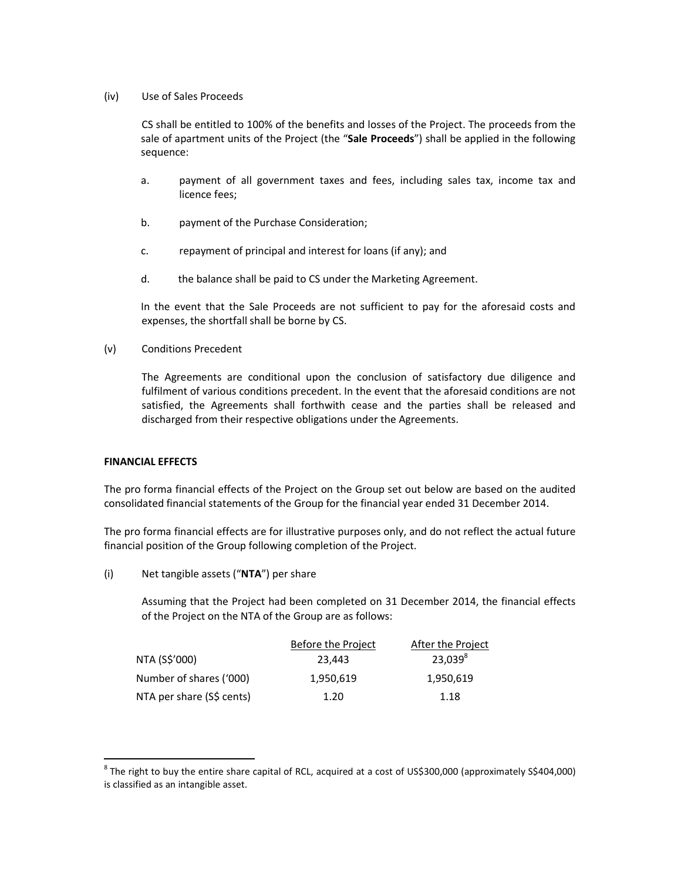# (iv) Use of Sales Proceeds

CS shall be entitled to 100% of the benefits and losses of the Project. The proceeds from the sale of apartment units of the Project (the "**Sale Proceeds**") shall be applied in the following sequence:

- a. payment of all government taxes and fees, including sales tax, income tax and licence fees;
- b. payment of the Purchase Consideration;
- c. repayment of principal and interest for loans (if any); and
- d. the balance shall be paid to CS under the Marketing Agreement.

In the event that the Sale Proceeds are not sufficient to pay for the aforesaid costs and expenses, the shortfall shall be borne by CS.

(v) Conditions Precedent

The Agreements are conditional upon the conclusion of satisfactory due diligence and fulfilment of various conditions precedent. In the event that the aforesaid conditions are not satisfied, the Agreements shall forthwith cease and the parties shall be released and discharged from their respective obligations under the Agreements.

# **FINANCIAL EFFECTS**

 $\overline{a}$ 

The pro forma financial effects of the Project on the Group set out below are based on the audited consolidated financial statements of the Group for the financial year ended 31 December 2014.

The pro forma financial effects are for illustrative purposes only, and do not reflect the actual future financial position of the Group following completion of the Project.

(i) Net tangible assets ("**NTA**") per share

Assuming that the Project had been completed on 31 December 2014, the financial effects of the Project on the NTA of the Group are as follows:

|                           | Before the Project | After the Project |
|---------------------------|--------------------|-------------------|
| NTA (S\$'000)             | 23.443             | $23,039^8$        |
| Number of shares ('000)   | 1,950,619          | 1,950,619         |
| NTA per share (S\$ cents) | 1.20               | 1.18              |

 $^8$  The right to buy the entire share capital of RCL, acquired at a cost of US\$300,000 (approximately S\$404,000) is classified as an intangible asset.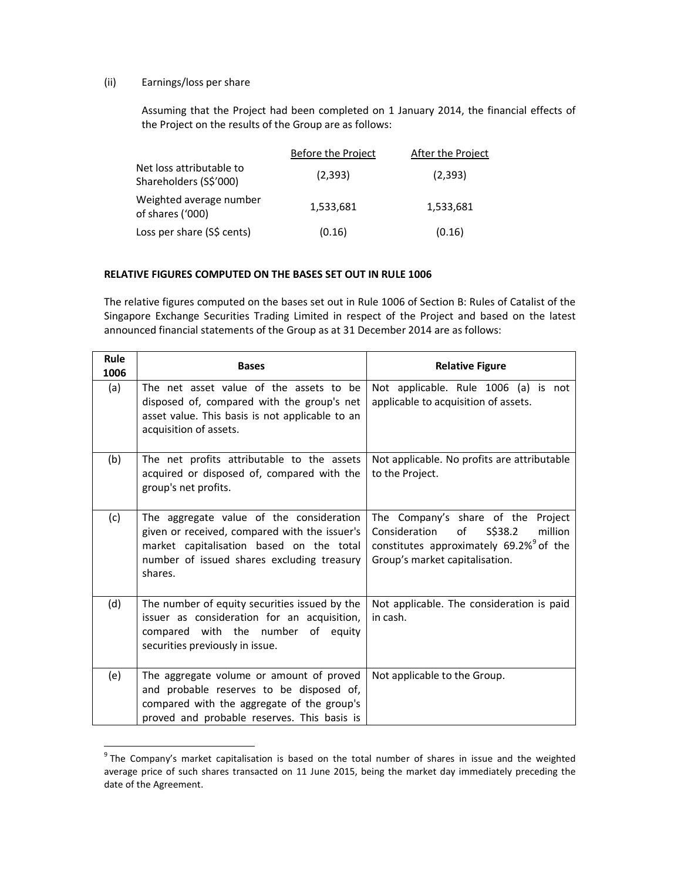# (ii) Earnings/loss per share

 $\overline{a}$ 

Assuming that the Project had been completed on 1 January 2014, the financial effects of the Project on the results of the Group are as follows:

|                                                    | Before the Project | After the Project |
|----------------------------------------------------|--------------------|-------------------|
| Net loss attributable to<br>Shareholders (S\$'000) | (2,393)            | (2,393)           |
| Weighted average number<br>of shares ('000)        | 1,533,681          | 1,533,681         |
| Loss per share (S\$ cents)                         | (0.16)             | (0.16)            |

# **RELATIVE FIGURES COMPUTED ON THE BASES SET OUT IN RULE 1006**

The relative figures computed on the bases set out in Rule 1006 of Section B: Rules of Catalist of the Singapore Exchange Securities Trading Limited in respect of the Project and based on the latest announced financial statements of the Group as at 31 December 2014 are as follows:

| Rule<br>1006 | <b>Bases</b>                                                                                                                                                                                   | <b>Relative Figure</b>                                                                                                                                                   |
|--------------|------------------------------------------------------------------------------------------------------------------------------------------------------------------------------------------------|--------------------------------------------------------------------------------------------------------------------------------------------------------------------------|
| (a)          | The net asset value of the assets to be<br>disposed of, compared with the group's net<br>asset value. This basis is not applicable to an<br>acquisition of assets.                             | Not applicable. Rule 1006 (a) is not<br>applicable to acquisition of assets.                                                                                             |
| (b)          | The net profits attributable to the assets<br>acquired or disposed of, compared with the<br>group's net profits.                                                                               | Not applicable. No profits are attributable<br>to the Project.                                                                                                           |
| (c)          | The aggregate value of the consideration<br>given or received, compared with the issuer's<br>market capitalisation based on the total<br>number of issued shares excluding treasury<br>shares. | The Company's share of the Project<br>million<br>Consideration<br>of<br>S\$38.2<br>constitutes approximately 69.2% <sup>9</sup> of the<br>Group's market capitalisation. |
| (d)          | The number of equity securities issued by the<br>issuer as consideration for an acquisition,<br>compared with the number of equity<br>securities previously in issue.                          | Not applicable. The consideration is paid<br>in cash.                                                                                                                    |
| (e)          | The aggregate volume or amount of proved<br>and probable reserves to be disposed of,<br>compared with the aggregate of the group's<br>proved and probable reserves. This basis is              | Not applicable to the Group.                                                                                                                                             |

<sup>&</sup>lt;sup>9</sup> The Company's market capitalisation is based on the total number of shares in issue and the weighted average price of such shares transacted on 11 June 2015, being the market day immediately preceding the date of the Agreement.